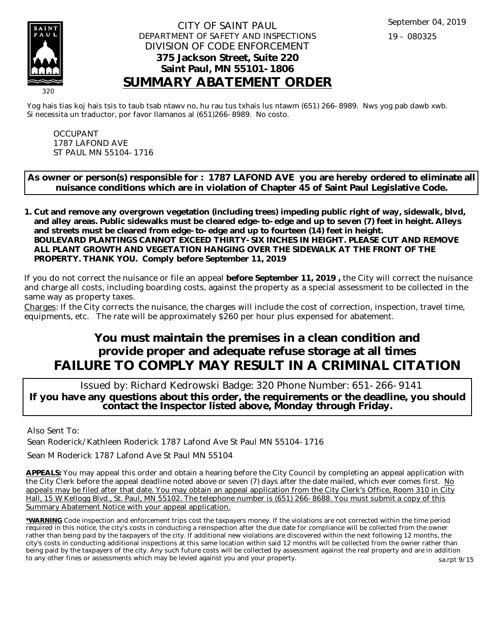

#### CITY OF SAINT PAUL DEPARTMENT OF SAFETY AND INSPECTIONS DIVISION OF CODE ENFORCEMENT **375 Jackson Street, Suite 220 Saint Paul, MN 55101-1806 SUMMARY ABATEMENT ORDER**

Yog hais tias koj hais tsis to taub tsab ntawv no, hu rau tus txhais lus ntawm (651) 266-8989. Nws yog pab dawb xwb. Si necessita un traductor, por favor llamanos al (651)266-8989. No costo.

OCCUPANT 1787 LAFOND AVE ST PAUL MN 55104-1716

**As owner or person(s) responsible for : 1787 LAFOND AVE you are hereby ordered to eliminate all nuisance conditions which are in violation of Chapter 45 of Saint Paul Legislative Code.**

**Cut and remove any overgrown vegetation (including trees) impeding public right of way, sidewalk, blvd, 1. and alley areas. Public sidewalks must be cleared edge-to-edge and up to seven (7) feet in height. Alleys and streets must be cleared from edge-to-edge and up to fourteen (14) feet in height. BOULEVARD PLANTINGS CANNOT EXCEED THIRTY-SIX INCHES IN HEIGHT. PLEASE CUT AND REMOVE ALL PLANT GROWTH AND VEGETATION HANGING OVER THE SIDEWALK AT THE FRONT OF THE PROPERTY. THANK YOU. Comply before September 11, 2019**

If you do not correct the nuisance or file an appeal **before September 11, 2019 ,** the City will correct the nuisance and charge all costs, including boarding costs, against the property as a special assessment to be collected in the same way as property taxes.

Charges: If the City corrects the nuisance, the charges will include the cost of correction, inspection, travel time, equipments, etc. The rate will be approximately \$260 per hour plus expensed for abatement.

# **You must maintain the premises in a clean condition and provide proper and adequate refuse storage at all times FAILURE TO COMPLY MAY RESULT IN A CRIMINAL CITATION**

 Issued by: Richard Kedrowski Badge: 320 Phone Number: 651-266-9141 **If you have any questions about this order, the requirements or the deadline, you should contact the Inspector listed above, Monday through Friday.**

Also Sent To:

Sean Roderick/Kathleen Roderick 1787 Lafond Ave St Paul MN 55104-1716

Sean M Roderick 1787 Lafond Ave St Paul MN 55104

**APPEALS:** You may appeal this order and obtain a hearing before the City Council by completing an appeal application with the City Clerk before the appeal deadline noted above or seven (7) days after the date mailed, which ever comes first. No appeals may be filed after that date. You may obtain an appeal application from the City Clerk's Office, Room 310 in City Hall, 15 W Kellogg Blvd., St. Paul, MN 55102. The telephone number is (651) 266-8688. You must submit a copy of this Summary Abatement Notice with your appeal application.

**\*WARNING** Code inspection and enforcement trips cost the taxpayers money. If the violations are not corrected within the time period required in this notice, the city's costs in conducting a reinspection after the due date for compliance will be collected from the owner rather than being paid by the taxpayers of the city. If additional new violations are discovered within the next following 12 months, the city's costs in conducting additional inspections at this same location within said 12 months will be collected from the owner rather than being paid by the taxpayers of the city. Any such future costs will be collected by assessment against the real property and are in addition to any other fines or assessments which may be levied against you and your property. sa.rpt 9/15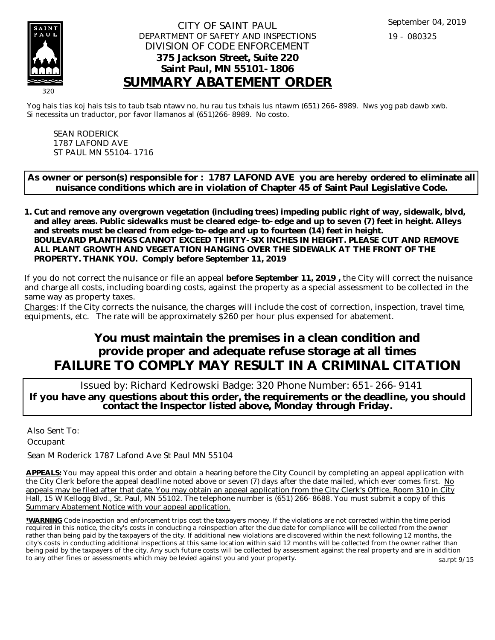

#### CITY OF SAINT PAUL DEPARTMENT OF SAFETY AND INSPECTIONS DIVISION OF CODE ENFORCEMENT **375 Jackson Street, Suite 220 Saint Paul, MN 55101-1806 SUMMARY ABATEMENT ORDER**

Yog hais tias koj hais tsis to taub tsab ntawv no, hu rau tus txhais lus ntawm (651) 266-8989. Nws yog pab dawb xwb. Si necessita un traductor, por favor llamanos al (651)266-8989. No costo.

SEAN RODERICK 1787 LAFOND AVE ST PAUL MN 55104-1716

**As owner or person(s) responsible for : 1787 LAFOND AVE you are hereby ordered to eliminate all nuisance conditions which are in violation of Chapter 45 of Saint Paul Legislative Code.**

**Cut and remove any overgrown vegetation (including trees) impeding public right of way, sidewalk, blvd, 1. and alley areas. Public sidewalks must be cleared edge-to-edge and up to seven (7) feet in height. Alleys and streets must be cleared from edge-to-edge and up to fourteen (14) feet in height. BOULEVARD PLANTINGS CANNOT EXCEED THIRTY-SIX INCHES IN HEIGHT. PLEASE CUT AND REMOVE ALL PLANT GROWTH AND VEGETATION HANGING OVER THE SIDEWALK AT THE FRONT OF THE PROPERTY. THANK YOU. Comply before September 11, 2019**

If you do not correct the nuisance or file an appeal **before September 11, 2019 ,** the City will correct the nuisance and charge all costs, including boarding costs, against the property as a special assessment to be collected in the same way as property taxes.

Charges: If the City corrects the nuisance, the charges will include the cost of correction, inspection, travel time, equipments, etc. The rate will be approximately \$260 per hour plus expensed for abatement.

# **You must maintain the premises in a clean condition and provide proper and adequate refuse storage at all times FAILURE TO COMPLY MAY RESULT IN A CRIMINAL CITATION**

 Issued by: Richard Kedrowski Badge: 320 Phone Number: 651-266-9141 **If you have any questions about this order, the requirements or the deadline, you should contact the Inspector listed above, Monday through Friday.**

Also Sent To: **Occupant** 

Sean M Roderick 1787 Lafond Ave St Paul MN 55104

**APPEALS:** You may appeal this order and obtain a hearing before the City Council by completing an appeal application with the City Clerk before the appeal deadline noted above or seven (7) days after the date mailed, which ever comes first. No appeals may be filed after that date. You may obtain an appeal application from the City Clerk's Office, Room 310 in City Hall, 15 W Kellogg Blvd., St. Paul, MN 55102. The telephone number is (651) 266-8688. You must submit a copy of this Summary Abatement Notice with your appeal application.

**\*WARNING** Code inspection and enforcement trips cost the taxpayers money. If the violations are not corrected within the time period required in this notice, the city's costs in conducting a reinspection after the due date for compliance will be collected from the owner rather than being paid by the taxpayers of the city. If additional new violations are discovered within the next following 12 months, the city's costs in conducting additional inspections at this same location within said 12 months will be collected from the owner rather than being paid by the taxpayers of the city. Any such future costs will be collected by assessment against the real property and are in addition to any other fines or assessments which may be levied against you and your property. sa.rpt 9/15